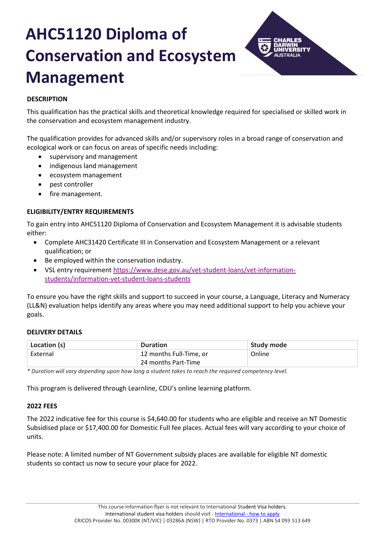# **AHC51120 Diploma of Conservation and Ecosystem Management**



# **DESCRIPTION**

This qualification has the practical skills and theoretical knowledge required for specialised or skilled work in the conservation and ecosystem management industry.

The qualification provides for advanced skills and/or supervisory roles in a broad range of conservation and ecological work or can focus on areas of specific needs including:

- supervisory and management
- indigenous land management
- ecosystem management
- pest controller
- fire management.

# **ELIGIBILITY/ENTRY REQUIREMENTS**

To gain entry into AHC51120 Diploma of Conservation and Ecosystem Management it is advisable students either:

- Complete AHC31420 Certificate III in Conservation and Ecosystem Management or a relevant qualification; or
- Be employed within the conservation industry.
- VSL entry requirement [https://www.dese.gov.au/vet-student-loans/vet-information](https://www.dese.gov.au/vet-student-loans/vet-information-students/information-vet-student-loans-students)[students/information-vet-student-loans-students](https://www.dese.gov.au/vet-student-loans/vet-information-students/information-vet-student-loans-students)

To ensure you have the right skills and support to succeed in your course, a Language, Literacy and Numeracy (LL&N) evaluation helps identify any areas where you may need additional support to help you achieve your goals.

# **DELIVERY DETAILS**

| Location (s) | <b>Duration</b>         | Study mode |
|--------------|-------------------------|------------|
| External     | 12 months Full-Time, or | Online     |
|              | 24 months Part-Time     |            |

*\* Duration will vary depending upon how long a student takes to reach the required competency level.*

This program is delivered through Learnline, CDU's online learning platform.

# **2022 FEES**

The 2022 indicative fee for this course is \$4,640.00 for students who are eligible and receive an NT Domestic Subsidised place or \$17,400.00 for Domestic Full fee places. Actual fees will vary according to your choice of units.

Please note: A limited number of NT Government subsidy places are available for eligible NT domestic students so contact us now to secure your place for 2022.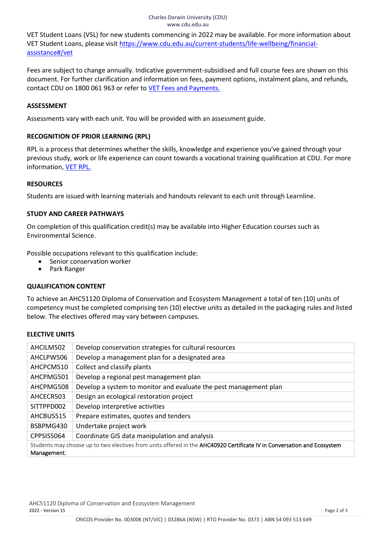#### Charles Darwin University (CDU) www.cdu.edu.au

VET Student Loans (VSL) for new students commencing in 2022 may be available. For more information about VET Student Loans, please visit [https://www.cdu.edu.au/current-students/life-wellbeing/financial](https://www.cdu.edu.au/current-students/life-wellbeing/financial-assistance#/vet)[assistance#/vet](https://www.cdu.edu.au/current-students/life-wellbeing/financial-assistance#/vet)

Fees are subject to change annually. Indicative government-subsidised and full course fees are shown on this document. For further clarification and information on fees, payment options, instalment plans, and refunds, contact CDU on 1800 061 963 or refer to [VET Fees and Payments.](https://www.cdu.edu.au/current-students/student-admin/fees-payments)

# **ASSESSMENT**

Assessments vary with each unit. You will be provided with an assessment guide.

# **RECOGNITION OF PRIOR LEARNING (RPL)**

RPL is a process that determines whether the skills, knowledge and experience you've gained through your previous study, work or life experience can count towards a vocational training qualification at CDU. For more information[, VET RPL.](https://www.cdu.edu.au/study/vocational-education-training/rpl)

#### **RESOURCES**

Students are issued with learning materials and handouts relevant to each unit through Learnline.

# **STUDY AND CAREER PATHWAYS**

On completion of this qualification credit(s) may be available into Higher Education courses such as Environmental Science.

Possible occupations relevant to this qualification include:

- Senior conservation worker
- Park Ranger

# **QUALIFICATION CONTENT**

To achieve an AHC51120 Diploma of Conservation and Ecosystem Management a total of ten (10) units of competency must be completed comprising ten (10) elective units as detailed in the packaging rules and listed below. The electives offered may vary between campuses.

# **ELECTIVE UNITS**

| AHCILM502                                                                                                               | Develop conservation strategies for cultural resources            |
|-------------------------------------------------------------------------------------------------------------------------|-------------------------------------------------------------------|
| AHCLPW506                                                                                                               | Develop a management plan for a designated area                   |
| AHCPCM510                                                                                                               | Collect and classify plants                                       |
| AHCPMG501                                                                                                               | Develop a regional pest management plan                           |
| AHCPMG508                                                                                                               | Develop a system to monitor and evaluate the pest management plan |
| AHCECR503                                                                                                               | Design an ecological restoration project                          |
| SITTPPD002                                                                                                              | Develop interpretive activities                                   |
| AHCBUS515                                                                                                               | Prepare estimates, quotes and tenders                             |
| BSBPMG430                                                                                                               | Undertake project work                                            |
| CPPSIS5064                                                                                                              | Coordinate GIS data manipulation and analysis                     |
| Students may choose up to two electives from units offered in the AHC40920 Certificate IV in Conversation and Ecosystem |                                                                   |
| Management.                                                                                                             |                                                                   |